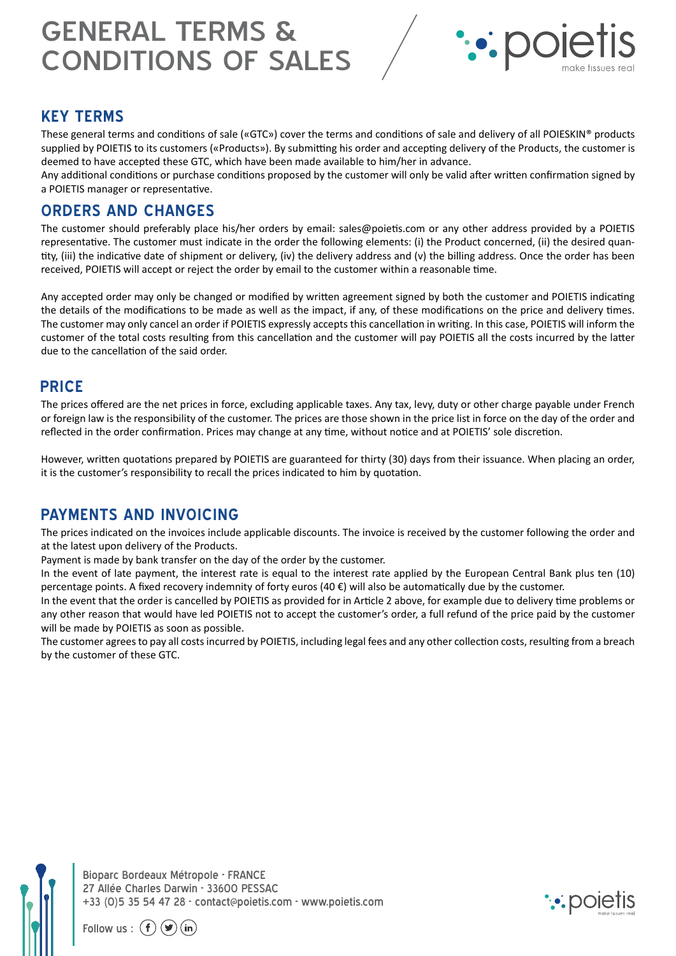# GENERAL TERMS & CONDITIONS OF SALES



#### **KEY TERMS**

These general terms and conditions of sale («GTC») cover the terms and conditions of sale and delivery of all POIESKIN® products supplied by POIETIS to its customers («Products»). By submitting his order and accepting delivery of the Products, the customer is deemed to have accepted these GTC, which have been made available to him/her in advance.

Any additional conditions or purchase conditions proposed by the customer will only be valid after written confirmation signed by a POIETIS manager or representative.

#### **ORDERS AND CHANGES**

The customer should preferably place his/her orders by email: sales@poietis.com or any other address provided by a POIETIS representative. The customer must indicate in the order the following elements: (i) the Product concerned, (ii) the desired quantity, (iii) the indicative date of shipment or delivery, (iv) the delivery address and (v) the billing address. Once the order has been received, POIETIS will accept or reject the order by email to the customer within a reasonable time.

Any accepted order may only be changed or modified by written agreement signed by both the customer and POIETIS indicating the details of the modifications to be made as well as the impact, if any, of these modifications on the price and delivery times. The customer may only cancel an order if POIETIS expressly accepts this cancellation in writing. In this case, POIETIS will inform the customer of the total costs resulting from this cancellation and the customer will pay POIETIS all the costs incurred by the latter due to the cancellation of the said order.

#### **PRICE**

The prices offered are the net prices in force, excluding applicable taxes. Any tax, levy, duty or other charge payable under French or foreign law is the responsibility of the customer. The prices are those shown in the price list in force on the day of the order and reflected in the order confirmation. Prices may change at any time, without notice and at POIETIS' sole discretion.

However, written quotations prepared by POIETIS are guaranteed for thirty (30) days from their issuance. When placing an order, it is the customer's responsibility to recall the prices indicated to him by quotation.

## **PAYMENTS AND INVOICING**

The prices indicated on the invoices include applicable discounts. The invoice is received by the customer following the order and at the latest upon delivery of the Products.

Payment is made by bank transfer on the day of the order by the customer.

In the event of late payment, the interest rate is equal to the interest rate applied by the European Central Bank plus ten (10) percentage points. A fixed recovery indemnity of forty euros (40 €) will also be automatically due by the customer.

In the event that the order is cancelled by POIETIS as provided for in Article 2 above, for example due to delivery time problems or any other reason that would have led POIETIS not to accept the customer's order, a full refund of the price paid by the customer will be made by POIETIS as soon as possible.

The customer agrees to pay all costs incurred by POIETIS, including legal fees and any other collection costs, resulting from a breach by the customer of these GTC.

Bioparc Bordeaux Métropole - FRANCE 27 Allée Charles Darwin - 33600 PESSAC +33 (0)5 35 54 47 28 - contact@poietis.com - www.poietis.com



Follow us :  $(f)(\blacktriangleright))$  (in)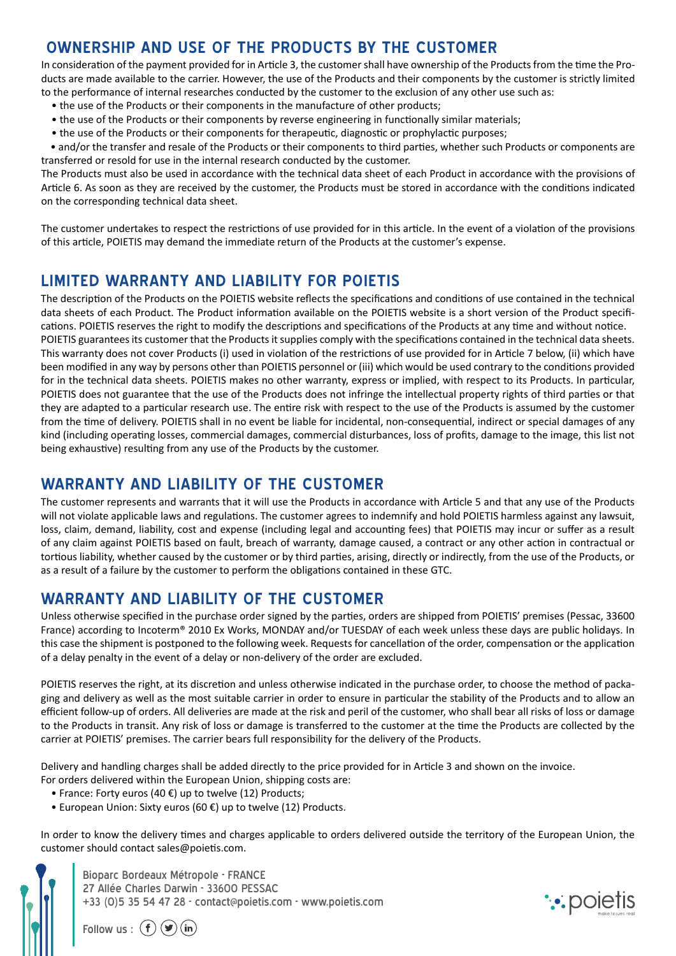# **OWNERSHIP AND USE OF THE PRODUCTS BY THE CUSTOMER**

In consideration of the payment provided for in Article 3, the customer shall have ownership of the Products from the time the Products are made available to the carrier. However, the use of the Products and their components by the customer is strictly limited to the performance of internal researches conducted by the customer to the exclusion of any other use such as:

- the use of the Products or their components in the manufacture of other products;
- the use of the Products or their components by reverse engineering in functionally similar materials;
- the use of the Products or their components for therapeutic, diagnostic or prophylactic purposes;
- and/or the transfer and resale of the Products or their components to third parties, whether such Products or components are transferred or resold for use in the internal research conducted by the customer.

The Products must also be used in accordance with the technical data sheet of each Product in accordance with the provisions of Article 6. As soon as they are received by the customer, the Products must be stored in accordance with the conditions indicated on the corresponding technical data sheet.

The customer undertakes to respect the restrictions of use provided for in this article. In the event of a violation of the provisions of this article, POIETIS may demand the immediate return of the Products at the customer's expense.

## **LIMITED WARRANTY AND LIABILITY FOR POIETIS**

The description of the Products on the POIETIS website reflects the specifications and conditions of use contained in the technical data sheets of each Product. The Product information available on the POIETIS website is a short version of the Product specifications. POIETIS reserves the right to modify the descriptions and specifications of the Products at any time and without notice. POIETIS guarantees its customer that the Products it supplies comply with the specifications contained in the technical data sheets. This warranty does not cover Products (i) used in violation of the restrictions of use provided for in Article 7 below, (ii) which have been modified in any way by persons other than POIETIS personnel or (iii) which would be used contrary to the conditions provided for in the technical data sheets. POIETIS makes no other warranty, express or implied, with respect to its Products. In particular, POIETIS does not guarantee that the use of the Products does not infringe the intellectual property rights of third parties or that they are adapted to a particular research use. The entire risk with respect to the use of the Products is assumed by the customer from the time of delivery. POIETIS shall in no event be liable for incidental, non-consequential, indirect or special damages of any kind (including operating losses, commercial damages, commercial disturbances, loss of profits, damage to the image, this list not being exhaustive) resulting from any use of the Products by the customer.

# **WARRANTY AND LIABILITY OF THE CUSTOMER**

The customer represents and warrants that it will use the Products in accordance with Article 5 and that any use of the Products will not violate applicable laws and regulations. The customer agrees to indemnify and hold POIETIS harmless against any lawsuit, loss, claim, demand, liability, cost and expense (including legal and accounting fees) that POIETIS may incur or suffer as a result of any claim against POIETIS based on fault, breach of warranty, damage caused, a contract or any other action in contractual or tortious liability, whether caused by the customer or by third parties, arising, directly or indirectly, from the use of the Products, or as a result of a failure by the customer to perform the obligations contained in these GTC.

# **WARRANTY AND LIABILITY OF THE CUSTOMER**

Unless otherwise specified in the purchase order signed by the parties, orders are shipped from POIETIS' premises (Pessac, 33600 France) according to Incoterm® 2010 Ex Works, MONDAY and/or TUESDAY of each week unless these days are public holidays. In this case the shipment is postponed to the following week. Requests for cancellation of the order, compensation or the application of a delay penalty in the event of a delay or non-delivery of the order are excluded.

POIETIS reserves the right, at its discretion and unless otherwise indicated in the purchase order, to choose the method of packaging and delivery as well as the most suitable carrier in order to ensure in particular the stability of the Products and to allow an efficient follow-up of orders. All deliveries are made at the risk and peril of the customer, who shall bear all risks of loss or damage to the Products in transit. Any risk of loss or damage is transferred to the customer at the time the Products are collected by the carrier at POIETIS' premises. The carrier bears full responsibility for the delivery of the Products.

Delivery and handling charges shall be added directly to the price provided for in Article 3 and shown on the invoice.

- For orders delivered within the European Union, shipping costs are:
	- France: Forty euros (40  $\epsilon$ ) up to twelve (12) Products;
	- European Union: Sixty euros (60 €) up to twelve (12) Products.

In order to know the delivery times and charges applicable to orders delivered outside the territory of the European Union, the customer should contact sales@poietis.com.

Bioparc Bordeaux Métropole - FRANCE 27 Allée Charles Darwin - 33600 PESSAC +33 (0)5 35 54 47 28 - contact@poietis.com - www.poietis.com



Follow us :  $(f)(\blacktriangleright)$   $(\mathbf{in})$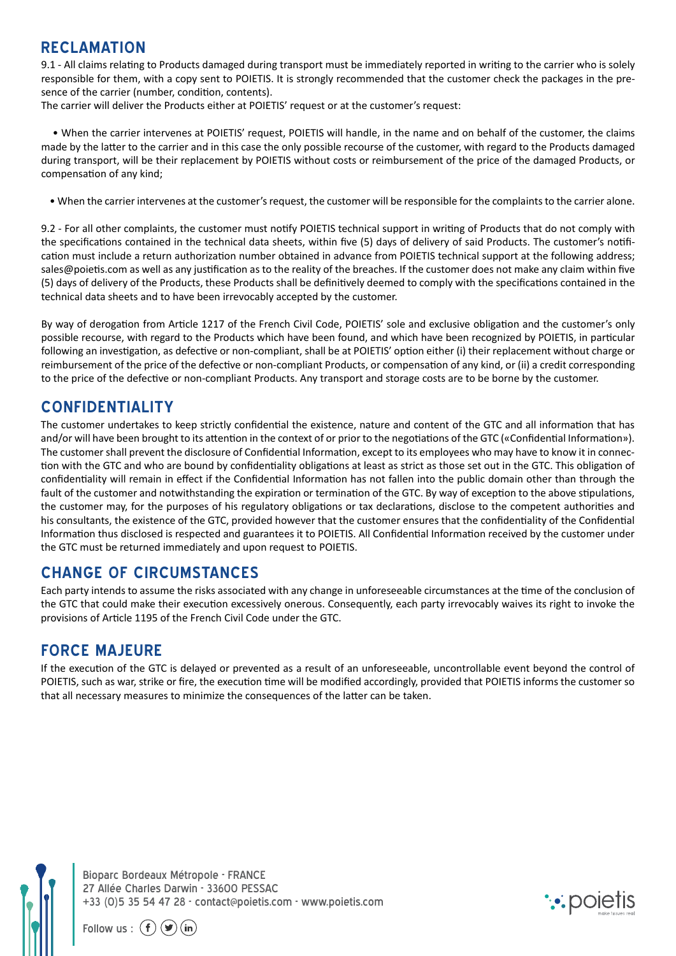## **RECLAMATION**

9.1 - All claims relating to Products damaged during transport must be immediately reported in writing to the carrier who is solely responsible for them, with a copy sent to POIETIS. It is strongly recommended that the customer check the packages in the presence of the carrier (number, condition, contents).

The carrier will deliver the Products either at POIETIS' request or at the customer's request:

 • When the carrier intervenes at POIETIS' request, POIETIS will handle, in the name and on behalf of the customer, the claims made by the latter to the carrier and in this case the only possible recourse of the customer, with regard to the Products damaged during transport, will be their replacement by POIETIS without costs or reimbursement of the price of the damaged Products, or compensation of any kind;

• When the carrier intervenes at the customer's request, the customer will be responsible for the complaints to the carrier alone.

9.2 - For all other complaints, the customer must notify POIETIS technical support in writing of Products that do not comply with the specifications contained in the technical data sheets, within five (5) days of delivery of said Products. The customer's notification must include a return authorization number obtained in advance from POIETIS technical support at the following address; sales@poietis.com as well as any justification as to the reality of the breaches. If the customer does not make any claim within five (5) days of delivery of the Products, these Products shall be definitively deemed to comply with the specifications contained in the technical data sheets and to have been irrevocably accepted by the customer.

By way of derogation from Article 1217 of the French Civil Code, POIETIS' sole and exclusive obligation and the customer's only possible recourse, with regard to the Products which have been found, and which have been recognized by POIETIS, in particular following an investigation, as defective or non-compliant, shall be at POIETIS' option either (i) their replacement without charge or reimbursement of the price of the defective or non-compliant Products, or compensation of any kind, or (ii) a credit corresponding to the price of the defective or non-compliant Products. Any transport and storage costs are to be borne by the customer.

## **CONFIDENTIALITY**

The customer undertakes to keep strictly confidential the existence, nature and content of the GTC and all information that has and/or will have been brought to its attention in the context of or prior to the negotiations of the GTC («Confidential Information»). The customer shall prevent the disclosure of Confidential Information, except to its employees who may have to know it in connection with the GTC and who are bound by confidentiality obligations at least as strict as those set out in the GTC. This obligation of confidentiality will remain in effect if the Confidential Information has not fallen into the public domain other than through the fault of the customer and notwithstanding the expiration or termination of the GTC. By way of exception to the above stipulations, the customer may, for the purposes of his regulatory obligations or tax declarations, disclose to the competent authorities and his consultants, the existence of the GTC, provided however that the customer ensures that the confidentiality of the Confidential Information thus disclosed is respected and guarantees it to POIETIS. All Confidential Information received by the customer under the GTC must be returned immediately and upon request to POIETIS.

## **CHANGE OF CIRCUMSTANCES**

Each party intends to assume the risks associated with any change in unforeseeable circumstances at the time of the conclusion of the GTC that could make their execution excessively onerous. Consequently, each party irrevocably waives its right to invoke the provisions of Article 1195 of the French Civil Code under the GTC.

#### **FORCE MAJEURE**

If the execution of the GTC is delayed or prevented as a result of an unforeseeable, uncontrollable event beyond the control of POIETIS, such as war, strike or fire, the execution time will be modified accordingly, provided that POIETIS informs the customer so that all necessary measures to minimize the consequences of the latter can be taken.

Bioparc Bordeaux Métropole - FRANCE 27 Allée Charles Darwin - 33600 PESSAC +33 (0)5 35 54 47 28 - contact@poietis.com - www.poietis.com